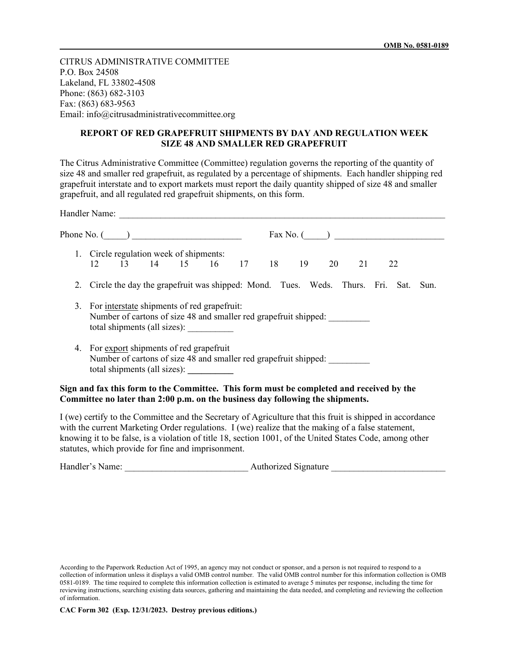CITRUS ADMINISTRATIVE COMMITTEE P.O. Box 24508 Lakeland, FL 33802-4508 Phone: (863) 682-3103 Fax: (863) 683-9563 Email: info@citrusadministrativecommittee.org

## **REPORT OF RED GRAPEFRUIT SHIPMENTS BY DAY AND REGULATION WEEK SIZE 48 AND SMALLER RED GRAPEFRUIT**

The Citrus Administrative Committee (Committee) regulation governs the reporting of the quantity of size 48 and smaller red grapefruit, as regulated by a percentage of shipments. Each handler shipping red grapefruit interstate and to export markets must report the daily quantity shipped of size 48 and smaller grapefruit, and all regulated red grapefruit shipments, on this form.

|    | Phone No. $($                                                                                                                                                                                                                                                                                                                                                                     |
|----|-----------------------------------------------------------------------------------------------------------------------------------------------------------------------------------------------------------------------------------------------------------------------------------------------------------------------------------------------------------------------------------|
|    | 1. Circle regulation week of shipments:<br>12 13 14 15 16 17 18 19 20<br>21<br>22                                                                                                                                                                                                                                                                                                 |
| 2. | Circle the day the grapefruit was shipped: Mond. Tues. Weds. Thurs. Fri. Sat.<br>Sun.                                                                                                                                                                                                                                                                                             |
|    | 3. For interstate shipments of red grapefruit:<br>Number of cartons of size 48 and smaller red grapefruit shipped:                                                                                                                                                                                                                                                                |
|    | 4. For export shipments of red grapefruit<br>Number of cartons of size 48 and smaller red grapefruit shipped:<br>total shipments (all sizes): ___________                                                                                                                                                                                                                         |
|    | Sign and fax this form to the Committee. This form must be completed and received by the<br>Committee no later than 2:00 p.m. on the business day following the shipments.                                                                                                                                                                                                        |
|    | I (we) certify to the Committee and the Secretary of Agriculture that this fruit is shipped in accordance<br>with the current Marketing Order regulations. I (we) realize that the making of a false statement,<br>knowing it to be false, is a violation of title 18, section 1001, of the United States Code, among other<br>statutes, which provide for fine and imprisonment. |

| Handler's Name: | Authorized Signature |
|-----------------|----------------------|
|-----------------|----------------------|

According to the Paperwork Reduction Act of 1995, an agency may not conduct or sponsor, and a person is not required to respond to a collection of information unless it displays a valid OMB control number. The valid OMB control number for this information collection is OMB 0581-0189. The time required to complete this information collection is estimated to average 5 minutes per response, including the time for reviewing instructions, searching existing data sources, gathering and maintaining the data needed, and completing and reviewing the collection of information.